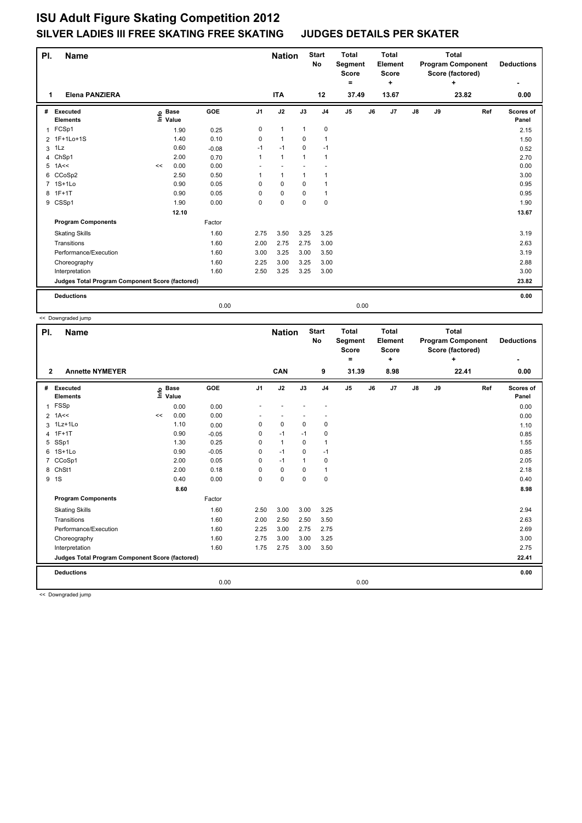| PI. | Name                                            |      |                      |         |                | <b>Nation</b>        |              | <b>Start</b><br>No | <b>Total</b><br>Segment<br>Score |    | <b>Total</b><br>Element<br><b>Score</b> | <b>Total</b><br><b>Program Component</b><br>Score (factored)<br>÷<br>23.82 |    |  |     | <b>Deductions</b>  |
|-----|-------------------------------------------------|------|----------------------|---------|----------------|----------------------|--------------|--------------------|----------------------------------|----|-----------------------------------------|----------------------------------------------------------------------------|----|--|-----|--------------------|
| 1   | <b>Elena PANZIERA</b>                           |      |                      |         |                | <b>ITA</b>           |              | 12                 | =<br>37.49                       |    | ÷<br>13.67                              |                                                                            |    |  |     | 0.00               |
| #   | Executed<br><b>Elements</b>                     | ١nfo | <b>Base</b><br>Value | GOE     | J <sub>1</sub> | J2                   | J3           | J <sub>4</sub>     | J <sub>5</sub>                   | J6 | J7                                      | $\mathsf{J}8$                                                              | J9 |  | Ref | Scores of<br>Panel |
| 1   | FCSp1                                           |      | 1.90                 | 0.25    | 0              | $\mathbf{1}$         | $\mathbf{1}$ | $\pmb{0}$          |                                  |    |                                         |                                                                            |    |  |     | 2.15               |
|     | 2 1F+1Lo+1S                                     |      | 1.40                 | 0.10    | 0              | $\blacktriangleleft$ | 0            | $\mathbf{1}$       |                                  |    |                                         |                                                                            |    |  |     | 1.50               |
| 3   | 1Lz                                             |      | 0.60                 | $-0.08$ | $-1$           | $-1$                 | $\mathbf 0$  | $-1$               |                                  |    |                                         |                                                                            |    |  |     | 0.52               |
| 4   | ChSp1                                           |      | 2.00                 | 0.70    | $\mathbf{1}$   | $\mathbf{1}$         | $\mathbf{1}$ | $\mathbf{1}$       |                                  |    |                                         |                                                                            |    |  |     | 2.70               |
| 5   | 1A<<                                            | <<   | 0.00                 | 0.00    |                |                      |              |                    |                                  |    |                                         |                                                                            |    |  |     | 0.00               |
| 6   | CCoSp2                                          |      | 2.50                 | 0.50    | 1              | $\mathbf{1}$         | $\mathbf{1}$ | $\mathbf{1}$       |                                  |    |                                         |                                                                            |    |  |     | 3.00               |
|     | 7 1S+1Lo                                        |      | 0.90                 | 0.05    | 0              | $\Omega$             | $\Omega$     | $\mathbf{1}$       |                                  |    |                                         |                                                                            |    |  |     | 0.95               |
| 8   | $1F+1T$                                         |      | 0.90                 | 0.05    | 0              | $\mathbf 0$          | $\mathbf 0$  | $\mathbf{1}$       |                                  |    |                                         |                                                                            |    |  |     | 0.95               |
|     | 9 CSSp1                                         |      | 1.90                 | 0.00    | 0              | $\mathbf 0$          | $\mathbf 0$  | 0                  |                                  |    |                                         |                                                                            |    |  |     | 1.90               |
|     |                                                 |      | 12.10                |         |                |                      |              |                    |                                  |    |                                         |                                                                            |    |  |     | 13.67              |
|     | <b>Program Components</b>                       |      |                      | Factor  |                |                      |              |                    |                                  |    |                                         |                                                                            |    |  |     |                    |
|     | <b>Skating Skills</b>                           |      |                      | 1.60    | 2.75           | 3.50                 | 3.25         | 3.25               |                                  |    |                                         |                                                                            |    |  |     | 3.19               |
|     | Transitions                                     |      |                      | 1.60    | 2.00           | 2.75                 | 2.75         | 3.00               |                                  |    |                                         |                                                                            |    |  |     | 2.63               |
|     | Performance/Execution                           |      |                      | 1.60    | 3.00           | 3.25                 | 3.00         | 3.50               |                                  |    |                                         |                                                                            |    |  |     | 3.19               |
|     | Choreography                                    |      |                      | 1.60    | 2.25           | 3.00                 | 3.25         | 3.00               |                                  |    |                                         |                                                                            |    |  |     | 2.88               |
|     | Interpretation                                  |      |                      | 1.60    | 2.50           | 3.25                 | 3.25         | 3.00               |                                  |    |                                         |                                                                            |    |  |     | 3.00               |
|     | Judges Total Program Component Score (factored) |      |                      |         |                |                      |              |                    |                                  |    |                                         |                                                                            |    |  |     | 23.82              |
|     | <b>Deductions</b>                               |      |                      |         |                |                      |              |                    |                                  |    |                                         |                                                                            |    |  |     | 0.00               |
|     |                                                 |      |                      | 0.00    |                |                      |              |                    | 0.00                             |    |                                         |                                                                            |    |  |     |                    |

<< Downgraded jump

| PI.            | Name                                            |      |                      |            |                | <b>Nation</b> |              | <b>Start</b><br><b>No</b> | <b>Total</b><br>Segment<br><b>Score</b><br>۰ |    | <b>Total</b><br>Element<br><b>Score</b><br>٠ |               |    | <b>Total</b><br><b>Program Component</b><br>Score (factored)<br>+ | <b>Deductions</b>  |
|----------------|-------------------------------------------------|------|----------------------|------------|----------------|---------------|--------------|---------------------------|----------------------------------------------|----|----------------------------------------------|---------------|----|-------------------------------------------------------------------|--------------------|
| $\mathbf{2}$   | <b>Annette NYMEYER</b>                          |      |                      |            |                | <b>CAN</b>    |              | 9                         | 31.39                                        |    | 8.98                                         |               |    | 22.41                                                             | 0.00               |
| #              | Executed<br><b>Elements</b>                     | Info | <b>Base</b><br>Value | <b>GOE</b> | J <sub>1</sub> | J2            | J3           | J <sub>4</sub>            | J <sub>5</sub>                               | J6 | J7                                           | $\mathsf{J}8$ | J9 | Ref                                                               | Scores of<br>Panel |
| $\mathbf{1}$   | FSSp                                            |      | 0.00                 | 0.00       |                |               |              |                           |                                              |    |                                              |               |    |                                                                   | 0.00               |
| $\overline{2}$ | 1A<<                                            | <<   | 0.00                 | 0.00       |                |               |              |                           |                                              |    |                                              |               |    |                                                                   | 0.00               |
|                | 3 1Lz+1Lo                                       |      | 1.10                 | 0.00       | 0              | $\mathbf 0$   | $\mathbf 0$  | $\mathbf 0$               |                                              |    |                                              |               |    |                                                                   | 1.10               |
| 4              | $1F+1T$                                         |      | 0.90                 | $-0.05$    | 0              | $-1$          | $-1$         | 0                         |                                              |    |                                              |               |    |                                                                   | 0.85               |
| 5              | SSp1                                            |      | 1.30                 | 0.25       | 0              | $\mathbf{1}$  | $\mathbf 0$  | 1                         |                                              |    |                                              |               |    |                                                                   | 1.55               |
| 6              | $1S+1Lo$                                        |      | 0.90                 | $-0.05$    | 0              | $-1$          | $\mathbf 0$  | $-1$                      |                                              |    |                                              |               |    |                                                                   | 0.85               |
| $\overline{7}$ | CCoSp1                                          |      | 2.00                 | 0.05       | 0              | $-1$          | $\mathbf{1}$ | $\pmb{0}$                 |                                              |    |                                              |               |    |                                                                   | 2.05               |
| 8              | ChSt1                                           |      | 2.00                 | 0.18       | 0              | $\pmb{0}$     | $\mathbf 0$  | $\mathbf{1}$              |                                              |    |                                              |               |    |                                                                   | 2.18               |
|                | 9 1S                                            |      | 0.40                 | 0.00       | 0              | $\pmb{0}$     | $\mathbf 0$  | $\mathbf 0$               |                                              |    |                                              |               |    |                                                                   | 0.40               |
|                |                                                 |      | 8.60                 |            |                |               |              |                           |                                              |    |                                              |               |    |                                                                   | 8.98               |
|                | <b>Program Components</b>                       |      |                      | Factor     |                |               |              |                           |                                              |    |                                              |               |    |                                                                   |                    |
|                | <b>Skating Skills</b>                           |      |                      | 1.60       | 2.50           | 3.00          | 3.00         | 3.25                      |                                              |    |                                              |               |    |                                                                   | 2.94               |
|                | Transitions                                     |      |                      | 1.60       | 2.00           | 2.50          | 2.50         | 3.50                      |                                              |    |                                              |               |    |                                                                   | 2.63               |
|                | Performance/Execution                           |      |                      | 1.60       | 2.25           | 3.00          | 2.75         | 2.75                      |                                              |    |                                              |               |    |                                                                   | 2.69               |
|                | Choreography                                    |      |                      | 1.60       | 2.75           | 3.00          | 3.00         | 3.25                      |                                              |    |                                              |               |    |                                                                   | 3.00               |
|                | Interpretation                                  |      |                      | 1.60       | 1.75           | 2.75          | 3.00         | 3.50                      |                                              |    |                                              |               |    |                                                                   | 2.75               |
|                | Judges Total Program Component Score (factored) |      |                      |            |                |               |              |                           |                                              |    |                                              |               |    |                                                                   | 22.41              |
|                | <b>Deductions</b>                               |      |                      |            |                |               |              |                           |                                              |    |                                              |               |    |                                                                   | 0.00               |
|                |                                                 |      |                      | 0.00       |                |               |              |                           | 0.00                                         |    |                                              |               |    |                                                                   |                    |
|                |                                                 |      |                      |            |                |               |              |                           |                                              |    |                                              |               |    |                                                                   |                    |

<< Downgraded jump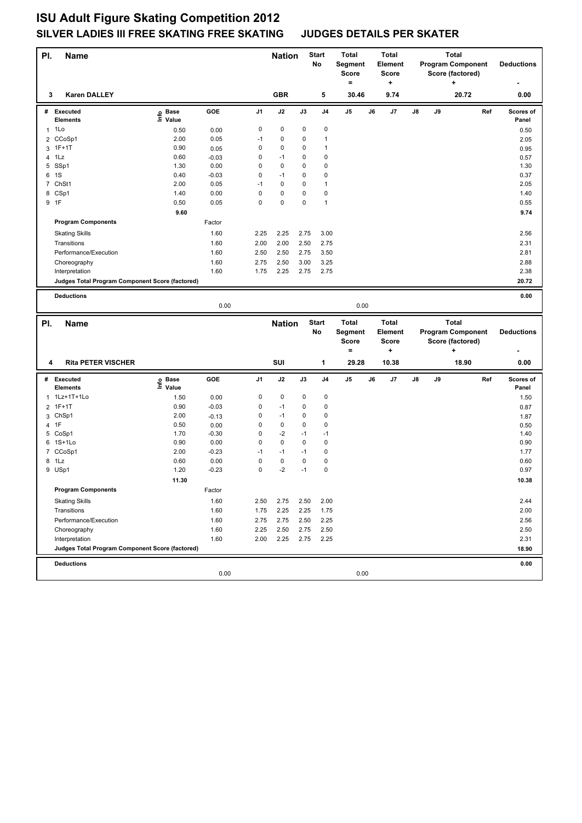| PI.            | Name                                            |                   |                 |                     | <b>Nation</b> |           | <b>Start</b><br>No | <b>Total</b><br>Segment<br><b>Score</b><br>$=$ |    | <b>Total</b><br>Element<br><b>Score</b><br>$\ddot{}$ |    |    | <b>Total</b><br><b>Program Component</b><br>Score (factored)<br>٠ |     | <b>Deductions</b>  |
|----------------|-------------------------------------------------|-------------------|-----------------|---------------------|---------------|-----------|--------------------|------------------------------------------------|----|------------------------------------------------------|----|----|-------------------------------------------------------------------|-----|--------------------|
| 3              | Karen DALLEY                                    |                   |                 |                     | <b>GBR</b>    |           | 5                  | 30.46                                          |    | 9.74                                                 |    |    | 20.72                                                             |     | 0.00               |
|                | # Executed<br><b>Elements</b>                   | e Base<br>⊑ Value | GOE             | J <sub>1</sub>      | J2            | J3        | J4                 | J5                                             | J6 | J7                                                   | J8 | J9 |                                                                   | Ref | Scores of<br>Panel |
|                | $1$ 1 Lo                                        | 0.50              | 0.00            | 0                   | 0             | 0         | 0                  |                                                |    |                                                      |    |    |                                                                   |     | 0.50               |
|                | 2 CCoSp1                                        | 2.00              | 0.05            | $-1$                | 0             | 0         | 1                  |                                                |    |                                                      |    |    |                                                                   |     | 2.05               |
|                | 3 1F+1T                                         | 0.90              | 0.05            | 0                   | 0             | 0         | 1                  |                                                |    |                                                      |    |    |                                                                   |     | 0.95               |
|                | 4 1Lz                                           | 0.60              | $-0.03$         | 0                   | $-1$          | 0         | 0                  |                                                |    |                                                      |    |    |                                                                   |     | 0.57               |
|                | 5 SSp1                                          | 1.30              | 0.00            | 0                   | 0             | 0         | 0                  |                                                |    |                                                      |    |    |                                                                   |     | 1.30               |
|                | 6 1S                                            | 0.40              | $-0.03$         | 0                   | $-1$          | 0         | 0                  |                                                |    |                                                      |    |    |                                                                   |     | 0.37               |
| 7              | ChSt1                                           | 2.00              | 0.05            | $-1$                | 0             | 0         | 1                  |                                                |    |                                                      |    |    |                                                                   |     | 2.05               |
|                | 8 CSp1                                          | 1.40              | 0.00            | 0                   | 0             | 0         | 0                  |                                                |    |                                                      |    |    |                                                                   |     | 1.40               |
|                | 9 1F                                            | 0.50              | 0.05            | 0                   | 0             | 0         | 1                  |                                                |    |                                                      |    |    |                                                                   |     | 0.55               |
|                |                                                 | 9.60              |                 |                     |               |           |                    |                                                |    |                                                      |    |    |                                                                   |     | 9.74               |
|                | <b>Program Components</b>                       |                   | Factor          |                     |               |           |                    |                                                |    |                                                      |    |    |                                                                   |     |                    |
|                | <b>Skating Skills</b>                           |                   | 1.60            | 2.25                | 2.25          | 2.75      | 3.00               |                                                |    |                                                      |    |    |                                                                   |     | 2.56               |
|                | Transitions                                     |                   | 1.60            | 2.00                | 2.00          | 2.50      | 2.75               |                                                |    |                                                      |    |    |                                                                   |     | 2.31               |
|                | Performance/Execution                           |                   | 1.60            | 2.50                | 2.50          | 2.75      | 3.50               |                                                |    |                                                      |    |    |                                                                   |     | 2.81               |
|                | Choreography                                    |                   | 1.60            | 2.75                | 2.50          | 3.00      | 3.25               |                                                |    |                                                      |    |    |                                                                   |     | 2.88               |
|                | Interpretation                                  |                   | 1.60            | 1.75                | 2.25          | 2.75      | 2.75               |                                                |    |                                                      |    |    |                                                                   |     | 2.38               |
|                | Judges Total Program Component Score (factored) |                   |                 |                     |               |           |                    |                                                |    |                                                      |    |    |                                                                   |     | 20.72              |
|                | <b>Deductions</b>                               |                   |                 |                     |               |           |                    |                                                |    |                                                      |    |    |                                                                   |     | 0.00               |
|                |                                                 |                   | 0.00            |                     |               |           |                    | 0.00                                           |    |                                                      |    |    |                                                                   |     |                    |
|                |                                                 |                   |                 |                     |               |           |                    |                                                |    |                                                      |    |    |                                                                   |     |                    |
| PI.            |                                                 |                   |                 |                     |               |           |                    |                                                |    |                                                      |    |    |                                                                   |     |                    |
|                | Name                                            |                   |                 |                     | <b>Nation</b> |           | <b>Start</b>       | <b>Total</b>                                   |    | <b>Total</b>                                         |    |    | <b>Total</b>                                                      |     |                    |
|                |                                                 |                   |                 |                     |               |           | No                 | Segment                                        |    | <b>Element</b>                                       |    |    | <b>Program Component</b>                                          |     | <b>Deductions</b>  |
|                |                                                 |                   |                 |                     |               |           |                    | <b>Score</b>                                   |    | <b>Score</b>                                         |    |    | Score (factored)                                                  |     |                    |
|                |                                                 |                   |                 |                     |               |           |                    | $=$                                            |    | +                                                    |    |    | +                                                                 |     |                    |
| 4              | <b>Rita PETER VISCHER</b>                       |                   |                 |                     | SUI           |           | 1                  | 29.28                                          |    | 10.38                                                |    |    | 18.90                                                             |     | 0.00               |
|                | # Executed                                      |                   | GOE             | J1                  | J2            | J3        | J <sub>4</sub>     | J5                                             | J6 | J7                                                   | J8 | J9 |                                                                   | Ref | Scores of          |
|                | <b>Elements</b>                                 | e Base<br>⊑ Value |                 |                     |               |           |                    |                                                |    |                                                      |    |    |                                                                   |     | Panel              |
|                | 1 1Lz+1T+1Lo                                    | 1.50              | 0.00            | 0                   | 0             | 0         | 0                  |                                                |    |                                                      |    |    |                                                                   |     | 1.50               |
| $\overline{2}$ | $1F+1T$                                         | 0.90              | $-0.03$         | 0                   | $-1$          | 0         | 0                  |                                                |    |                                                      |    |    |                                                                   |     | 0.87               |
|                | 3 ChSp1                                         | 2.00              | $-0.13$         | 0                   | $-1$          | 0         | 0                  |                                                |    |                                                      |    |    |                                                                   |     | 1.87               |
| 4              | 1F                                              | 0.50              | 0.00            | 0                   | 0             | 0         | 0                  |                                                |    |                                                      |    |    |                                                                   |     | 0.50               |
|                | 5 CoSp1                                         | 1.70              | $-0.30$         | 0                   | $-2$          | $-1$      | $-1$               |                                                |    |                                                      |    |    |                                                                   |     | 1.40               |
|                | 6 1S+1Lo                                        | 0.90              | 0.00            | $\mathbf 0$<br>$-1$ | 0             | 0<br>$-1$ | 0                  |                                                |    |                                                      |    |    |                                                                   |     | 0.90               |
|                | 7 CCoSp1                                        | 2.00              | $-0.23$         |                     | $-1$          |           | 0                  |                                                |    |                                                      |    |    |                                                                   |     | 1.77               |
|                | 8 1Lz                                           | 0.60<br>1.20      | 0.00<br>$-0.23$ | 0<br>0              | 0<br>$-2$     | 0<br>$-1$ | 0<br>0             |                                                |    |                                                      |    |    |                                                                   |     | 0.60<br>0.97       |
|                | 9 USp1                                          |                   |                 |                     |               |           |                    |                                                |    |                                                      |    |    |                                                                   |     |                    |
|                |                                                 | 11.30             |                 |                     |               |           |                    |                                                |    |                                                      |    |    |                                                                   |     | 10.38              |
|                | <b>Program Components</b>                       |                   | Factor          |                     |               |           |                    |                                                |    |                                                      |    |    |                                                                   |     |                    |
|                | <b>Skating Skills</b>                           |                   | 1.60            | 2.50                | 2.75          | 2.50      | 2.00               |                                                |    |                                                      |    |    |                                                                   |     | 2.44               |
|                | Transitions                                     |                   | 1.60            | 1.75                | 2.25          | 2.25      | 1.75               |                                                |    |                                                      |    |    |                                                                   |     | 2.00               |
|                | Performance/Execution                           |                   | 1.60            | 2.75                | 2.75          | 2.50      | 2.25               |                                                |    |                                                      |    |    |                                                                   |     | 2.56               |
|                | Choreography                                    |                   | 1.60            | 2.25                | 2.50          | 2.75      | 2.50               |                                                |    |                                                      |    |    |                                                                   |     | 2.50               |
|                | Interpretation                                  |                   | 1.60            | 2.00                | 2.25          | 2.75      | 2.25               |                                                |    |                                                      |    |    |                                                                   |     | 2.31               |
|                | Judges Total Program Component Score (factored) |                   |                 |                     |               |           |                    |                                                |    |                                                      |    |    |                                                                   |     | 18.90              |
|                | <b>Deductions</b>                               |                   |                 |                     |               |           |                    |                                                |    |                                                      |    |    |                                                                   |     | 0.00               |
|                |                                                 |                   | 0.00            |                     |               |           |                    | 0.00                                           |    |                                                      |    |    |                                                                   |     |                    |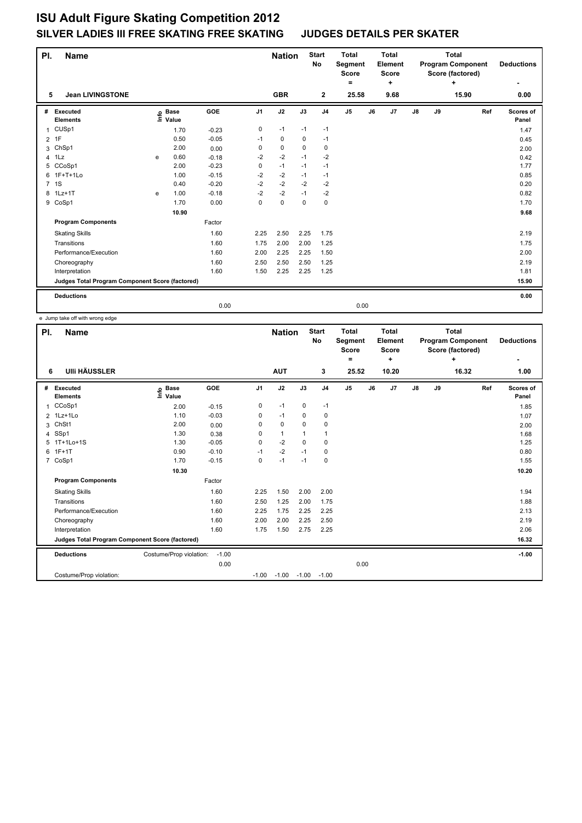| PI.            | <b>Name</b>                                     |      |                      |         |                | <b>Nation</b> |      | <b>Start</b><br>No | <b>Total</b><br>Segment<br><b>Score</b> |    | <b>Total</b><br>Element<br>Score |    |    | <b>Total</b><br><b>Program Component</b><br>Score (factored) |     | <b>Deductions</b>  |
|----------------|-------------------------------------------------|------|----------------------|---------|----------------|---------------|------|--------------------|-----------------------------------------|----|----------------------------------|----|----|--------------------------------------------------------------|-----|--------------------|
|                |                                                 |      |                      |         |                |               |      |                    | ٠                                       |    | ÷                                |    |    | ÷                                                            |     |                    |
| 5              | <b>Jean LIVINGSTONE</b>                         |      |                      |         |                | <b>GBR</b>    |      | $\mathbf{2}$       | 25.58                                   |    | 9.68                             |    |    | 15.90                                                        |     | 0.00               |
| #              | Executed<br><b>Elements</b>                     | lnfo | <b>Base</b><br>Value | GOE     | J <sub>1</sub> | J2            | J3   | J <sub>4</sub>     | J <sub>5</sub>                          | J6 | J7                               | J8 | J9 |                                                              | Ref | Scores of<br>Panel |
| 1              | CUSp1                                           |      | 1.70                 | $-0.23$ | 0              | $-1$          | $-1$ | $-1$               |                                         |    |                                  |    |    |                                                              |     | 1.47               |
| $\overline{2}$ | 1F                                              |      | 0.50                 | $-0.05$ | $-1$           | 0             | 0    | $-1$               |                                         |    |                                  |    |    |                                                              |     | 0.45               |
| 3              | ChSp1                                           |      | 2.00                 | 0.00    | 0              | 0             | 0    | 0                  |                                         |    |                                  |    |    |                                                              |     | 2.00               |
| $\overline{4}$ | 1Lz                                             | e    | 0.60                 | $-0.18$ | $-2$           | $-2$          | $-1$ | $-2$               |                                         |    |                                  |    |    |                                                              |     | 0.42               |
| 5              | CCoSp1                                          |      | 2.00                 | $-0.23$ | 0              | $-1$          | $-1$ | $-1$               |                                         |    |                                  |    |    |                                                              |     | 1.77               |
| 6              | 1F+T+1Lo                                        |      | 1.00                 | $-0.15$ | $-2$           | $-2$          | $-1$ | $-1$               |                                         |    |                                  |    |    |                                                              |     | 0.85               |
| $7^{\circ}$    | 1S                                              |      | 0.40                 | $-0.20$ | $-2$           | $-2$          | $-2$ | $-2$               |                                         |    |                                  |    |    |                                                              |     | 0.20               |
|                | 8 1Lz+1T                                        | e    | 1.00                 | $-0.18$ | $-2$           | $-2$          | $-1$ | $-2$               |                                         |    |                                  |    |    |                                                              |     | 0.82               |
|                | 9 CoSp1                                         |      | 1.70                 | 0.00    | 0              | $\pmb{0}$     | 0    | $\mathbf 0$        |                                         |    |                                  |    |    |                                                              |     | 1.70               |
|                |                                                 |      | 10.90                |         |                |               |      |                    |                                         |    |                                  |    |    |                                                              |     | 9.68               |
|                | <b>Program Components</b>                       |      |                      | Factor  |                |               |      |                    |                                         |    |                                  |    |    |                                                              |     |                    |
|                | <b>Skating Skills</b>                           |      |                      | 1.60    | 2.25           | 2.50          | 2.25 | 1.75               |                                         |    |                                  |    |    |                                                              |     | 2.19               |
|                | Transitions                                     |      |                      | 1.60    | 1.75           | 2.00          | 2.00 | 1.25               |                                         |    |                                  |    |    |                                                              |     | 1.75               |
|                | Performance/Execution                           |      |                      | 1.60    | 2.00           | 2.25          | 2.25 | 1.50               |                                         |    |                                  |    |    |                                                              |     | 2.00               |
|                | Choreography                                    |      |                      | 1.60    | 2.50           | 2.50          | 2.50 | 1.25               |                                         |    |                                  |    |    |                                                              |     | 2.19               |
|                | Interpretation                                  |      |                      | 1.60    | 1.50           | 2.25          | 2.25 | 1.25               |                                         |    |                                  |    |    |                                                              |     | 1.81               |
|                | Judges Total Program Component Score (factored) |      |                      |         |                |               |      |                    |                                         |    |                                  |    |    |                                                              |     | 15.90              |
|                | <b>Deductions</b>                               |      |                      |         |                |               |      |                    |                                         |    |                                  |    |    |                                                              |     | 0.00               |
|                |                                                 |      |                      | 0.00    |                |               |      |                    | 0.00                                    |    |                                  |    |    |                                                              |     |                    |

e Jump take off with wrong edge

| PI.            | <b>Name</b>                                     |                              |         |                | <b>Nation</b> |             | <b>Start</b><br><b>No</b> | <b>Total</b><br>Segment<br><b>Score</b><br>۰ |    | <b>Total</b><br>Element<br><b>Score</b><br>÷ |               | <b>Program Component</b><br>Score (factored) | <b>Deductions</b><br>٠ |     |                    |
|----------------|-------------------------------------------------|------------------------------|---------|----------------|---------------|-------------|---------------------------|----------------------------------------------|----|----------------------------------------------|---------------|----------------------------------------------|------------------------|-----|--------------------|
| 6              | <b>UIII HÄUSSLER</b>                            |                              |         |                | <b>AUT</b>    |             | 3                         | 25.52                                        |    | 10.20                                        |               |                                              | ÷<br>16.32             |     | 1.00               |
| #              | Executed<br><b>Elements</b>                     | <b>Base</b><br>١mfo<br>Value | GOE     | J <sub>1</sub> | J2            | J3          | J <sub>4</sub>            | J <sub>5</sub>                               | J6 | J7                                           | $\mathsf{J}8$ | J9                                           |                        | Ref | Scores of<br>Panel |
| 1              | CCoSp1                                          | 2.00                         | $-0.15$ | 0              | $-1$          | $\mathbf 0$ | $-1$                      |                                              |    |                                              |               |                                              |                        |     | 1.85               |
| $\overline{2}$ | 1Lz+1Lo                                         | 1.10                         | $-0.03$ | 0              | $-1$          | 0           | 0                         |                                              |    |                                              |               |                                              |                        |     | 1.07               |
| 3              | ChSt1                                           | 2.00                         | 0.00    | 0              | $\mathbf 0$   | $\Omega$    | $\pmb{0}$                 |                                              |    |                                              |               |                                              |                        |     | 2.00               |
| 4              | SSp1                                            | 1.30                         | 0.38    | 0              | $\mathbf{1}$  | 1           | $\mathbf{1}$              |                                              |    |                                              |               |                                              |                        |     | 1.68               |
| 5              | $1T+1Lo+1S$                                     | 1.30                         | $-0.05$ | 0              | $-2$          | $\Omega$    | $\mathbf 0$               |                                              |    |                                              |               |                                              |                        |     | 1.25               |
| 6              | $1F+1T$                                         | 0.90                         | $-0.10$ | $-1$           | $-2$          | $-1$        | $\mathbf 0$               |                                              |    |                                              |               |                                              |                        |     | 0.80               |
| 7              | CoSp1                                           | 1.70                         | $-0.15$ | 0              | $-1$          | $-1$        | $\pmb{0}$                 |                                              |    |                                              |               |                                              |                        |     | 1.55               |
|                |                                                 | 10.30                        |         |                |               |             |                           |                                              |    |                                              |               |                                              |                        |     | 10.20              |
|                | <b>Program Components</b>                       |                              | Factor  |                |               |             |                           |                                              |    |                                              |               |                                              |                        |     |                    |
|                | <b>Skating Skills</b>                           |                              | 1.60    | 2.25           | 1.50          | 2.00        | 2.00                      |                                              |    |                                              |               |                                              |                        |     | 1.94               |
|                | Transitions                                     |                              | 1.60    | 2.50           | 1.25          | 2.00        | 1.75                      |                                              |    |                                              |               |                                              |                        |     | 1.88               |
|                | Performance/Execution                           |                              | 1.60    | 2.25           | 1.75          | 2.25        | 2.25                      |                                              |    |                                              |               |                                              |                        |     | 2.13               |
|                | Choreography                                    |                              | 1.60    | 2.00           | 2.00          | 2.25        | 2.50                      |                                              |    |                                              |               |                                              |                        |     | 2.19               |
|                | Interpretation                                  |                              | 1.60    | 1.75           | 1.50          | 2.75        | 2.25                      |                                              |    |                                              |               |                                              |                        |     | 2.06               |
|                | Judges Total Program Component Score (factored) |                              |         |                |               |             |                           |                                              |    |                                              |               |                                              |                        |     | 16.32              |
|                | <b>Deductions</b>                               | Costume/Prop violation:      | $-1.00$ |                |               |             |                           |                                              |    |                                              |               |                                              |                        |     | $-1.00$            |
|                |                                                 |                              | 0.00    |                |               |             |                           | 0.00                                         |    |                                              |               |                                              |                        |     |                    |
|                | Costume/Prop violation:                         |                              |         | $-1.00$        | $-1.00$       | $-1.00$     | $-1.00$                   |                                              |    |                                              |               |                                              |                        |     |                    |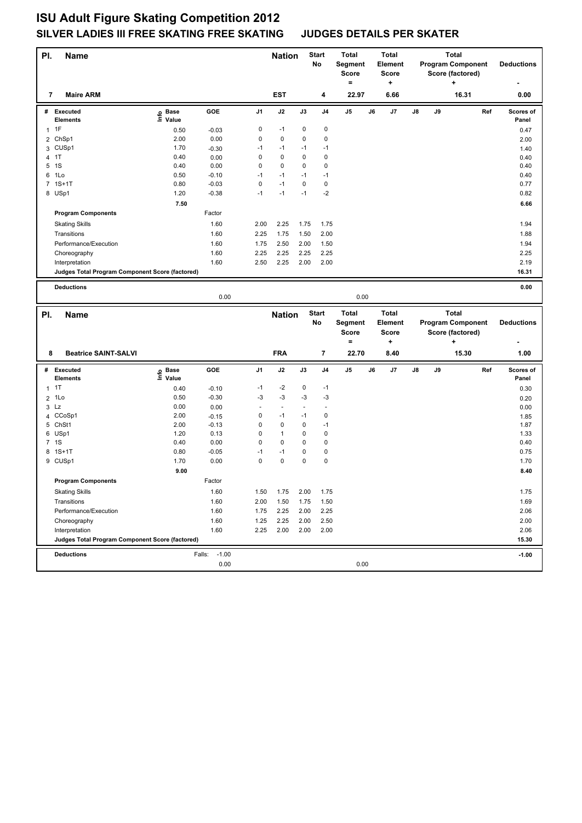| PI. | Name                                            |                   |                   |                | <b>Nation</b> |                      | <b>Start</b><br>No | <b>Total</b><br>Segment<br><b>Score</b><br>$=$ |    | <b>Total</b><br>Element<br><b>Score</b><br>$\ddot{}$ |    |    | <b>Total</b><br><b>Program Component</b><br>Score (factored)<br>٠ |     | <b>Deductions</b>  |
|-----|-------------------------------------------------|-------------------|-------------------|----------------|---------------|----------------------|--------------------|------------------------------------------------|----|------------------------------------------------------|----|----|-------------------------------------------------------------------|-----|--------------------|
| 7   | <b>Maire ARM</b>                                |                   |                   |                | <b>EST</b>    |                      | 4                  | 22.97                                          |    | 6.66                                                 |    |    | 16.31                                                             |     | 0.00               |
|     | # Executed<br><b>Elements</b>                   | e Base<br>⊆ Value | GOE               | J1             | J2            | J3                   | J4                 | J5                                             | J6 | J7                                                   | J8 | J9 |                                                                   | Ref | Scores of<br>Panel |
|     | $1$ 1F                                          | 0.50              | $-0.03$           | 0              | $-1$          | 0                    | 0                  |                                                |    |                                                      |    |    |                                                                   |     | 0.47               |
|     |                                                 | 2.00              | 0.00              | 0              | 0             | 0                    | 0                  |                                                |    |                                                      |    |    |                                                                   |     |                    |
|     | 2 ChSp1<br>3 CUSp1                              | 1.70              |                   | $-1$           | $-1$          | $-1$                 | $-1$               |                                                |    |                                                      |    |    |                                                                   |     | 2.00               |
|     | 4 1T                                            | 0.40              | $-0.30$<br>0.00   | 0              | 0             | 0                    | $\pmb{0}$          |                                                |    |                                                      |    |    |                                                                   |     | 1.40               |
| 5   | 1S                                              | 0.40              | 0.00              | 0              | 0             | 0                    | 0                  |                                                |    |                                                      |    |    |                                                                   |     | 0.40<br>0.40       |
|     | 6 1Lo                                           | 0.50              | $-0.10$           | $-1$           | $-1$          | $-1$                 | $-1$               |                                                |    |                                                      |    |    |                                                                   |     | 0.40               |
|     | 7 1S+1T                                         | 0.80              | $-0.03$           | $\mathsf 0$    | $-1$          | 0                    | 0                  |                                                |    |                                                      |    |    |                                                                   |     | 0.77               |
|     | 8 USp1                                          | 1.20              | $-0.38$           | $-1$           | $-1$          | $-1$                 | $-2$               |                                                |    |                                                      |    |    |                                                                   |     | 0.82               |
|     |                                                 | 7.50              |                   |                |               |                      |                    |                                                |    |                                                      |    |    |                                                                   |     | 6.66               |
|     | <b>Program Components</b>                       |                   | Factor            |                |               |                      |                    |                                                |    |                                                      |    |    |                                                                   |     |                    |
|     | <b>Skating Skills</b>                           |                   | 1.60              | 2.00           | 2.25          | 1.75                 | 1.75               |                                                |    |                                                      |    |    |                                                                   |     | 1.94               |
|     | Transitions                                     |                   | 1.60              | 2.25           | 1.75          | 1.50                 | 2.00               |                                                |    |                                                      |    |    |                                                                   |     | 1.88               |
|     | Performance/Execution                           |                   | 1.60              | 1.75           | 2.50          | 2.00                 | 1.50               |                                                |    |                                                      |    |    |                                                                   |     | 1.94               |
|     | Choreography                                    |                   | 1.60              | 2.25           | 2.25          | 2.25                 | 2.25               |                                                |    |                                                      |    |    |                                                                   |     | 2.25               |
|     | Interpretation                                  |                   | 1.60              | 2.50           | 2.25          | 2.00                 | 2.00               |                                                |    |                                                      |    |    |                                                                   |     | 2.19               |
|     | Judges Total Program Component Score (factored) |                   |                   |                |               |                      |                    |                                                |    |                                                      |    |    |                                                                   |     | 16.31              |
|     | <b>Deductions</b>                               |                   |                   |                |               |                      |                    |                                                |    |                                                      |    |    |                                                                   |     | 0.00               |
|     |                                                 |                   | 0.00              |                |               |                      |                    | 0.00                                           |    |                                                      |    |    |                                                                   |     |                    |
|     |                                                 |                   |                   |                |               |                      |                    |                                                |    |                                                      |    |    |                                                                   |     |                    |
| PI. | <b>Name</b>                                     |                   |                   |                | <b>Nation</b> |                      | <b>Start</b><br>No | <b>Total</b><br>Segment<br><b>Score</b>        |    | <b>Total</b><br>Element<br><b>Score</b>              |    |    | <b>Total</b><br><b>Program Component</b><br>Score (factored)      |     | <b>Deductions</b>  |
|     |                                                 |                   |                   |                |               |                      |                    | $=$                                            |    | +                                                    |    |    | ٠                                                                 |     |                    |
| 8   | <b>Beatrice SAINT-SALVI</b>                     |                   |                   |                | <b>FRA</b>    |                      | 7                  | 22.70                                          |    | 8.40                                                 |    |    | 15.30                                                             |     | 1.00               |
|     | # Executed<br><b>Elements</b>                   | e Base<br>E Value | GOE               | J <sub>1</sub> | J2            | J3                   | J4                 | J5                                             | J6 | J7                                                   | J8 | J9 |                                                                   | Ref | Scores of<br>Panel |
| 1   | 1T                                              | 0.40              | $-0.10$           | $-1$           | $-2$          | 0                    | $-1$               |                                                |    |                                                      |    |    |                                                                   |     | 0.30               |
|     | $2$ 1Lo                                         | 0.50              | $-0.30$           | $-3$           | $-3$          | $-3$                 | $-3$               |                                                |    |                                                      |    |    |                                                                   |     | 0.20               |
| 3   | Lz                                              | 0.00              | 0.00              | ÷,             | $\sim$        | $\ddot{\phantom{1}}$ | $\blacksquare$     |                                                |    |                                                      |    |    |                                                                   |     | 0.00               |
|     | 4 CCoSp1                                        | 2.00              | $-0.15$           | 0              | $-1$          | $-1$                 | 0                  |                                                |    |                                                      |    |    |                                                                   |     | 1.85               |
|     | 5 ChSt1                                         | 2.00              | $-0.13$           | 0              | 0             | 0                    | $-1$               |                                                |    |                                                      |    |    |                                                                   |     | 1.87               |
|     | 6 USp1                                          | 1.20              | 0.13              | 0              | 1             | 0                    | $\pmb{0}$          |                                                |    |                                                      |    |    |                                                                   |     | 1.33               |
|     | 7 1S                                            | 0.40              | 0.00              | $\mathbf 0$    | 0             | 0                    | 0                  |                                                |    |                                                      |    |    |                                                                   |     | 0.40               |
|     | 8 1S+1T                                         | 0.80              | $-0.05$           | $-1$           | $-1$          | 0                    | 0                  |                                                |    |                                                      |    |    |                                                                   |     | 0.75               |
|     | 9 CUSp1                                         | 1.70              | 0.00              | 0              | 0             | 0                    | 0                  |                                                |    |                                                      |    |    |                                                                   |     | 1.70               |
|     |                                                 | 9.00              |                   |                |               |                      |                    |                                                |    |                                                      |    |    |                                                                   |     | 8.40               |
|     | <b>Program Components</b>                       |                   | Factor            |                |               |                      |                    |                                                |    |                                                      |    |    |                                                                   |     |                    |
|     | <b>Skating Skills</b>                           |                   | 1.60              | 1.50           | 1.75          | 2.00                 | 1.75               |                                                |    |                                                      |    |    |                                                                   |     | 1.75               |
|     | Transitions                                     |                   | 1.60              | 2.00           | 1.50          | 1.75                 | 1.50               |                                                |    |                                                      |    |    |                                                                   |     | 1.69               |
|     | Performance/Execution                           |                   |                   |                | 2.25          | 2.00                 | 2.25               |                                                |    |                                                      |    |    |                                                                   |     | 2.06               |
|     |                                                 |                   | 1.60              | 1.75           |               |                      |                    |                                                |    |                                                      |    |    |                                                                   |     |                    |
|     | Choreography                                    |                   | 1.60              | 1.25           | 2.25          | 2.00                 | 2.50               |                                                |    |                                                      |    |    |                                                                   |     | 2.00               |
|     | Interpretation                                  |                   | 1.60              | 2.25           | 2.00          | 2.00                 | 2.00               |                                                |    |                                                      |    |    |                                                                   |     | 2.06               |
|     | Judges Total Program Component Score (factored) |                   |                   |                |               |                      |                    |                                                |    |                                                      |    |    |                                                                   |     | 15.30              |
|     | <b>Deductions</b>                               |                   | $-1.00$<br>Falls: |                |               |                      |                    |                                                |    |                                                      |    |    |                                                                   |     | $-1.00$            |
|     |                                                 |                   | 0.00              |                |               |                      |                    | 0.00                                           |    |                                                      |    |    |                                                                   |     |                    |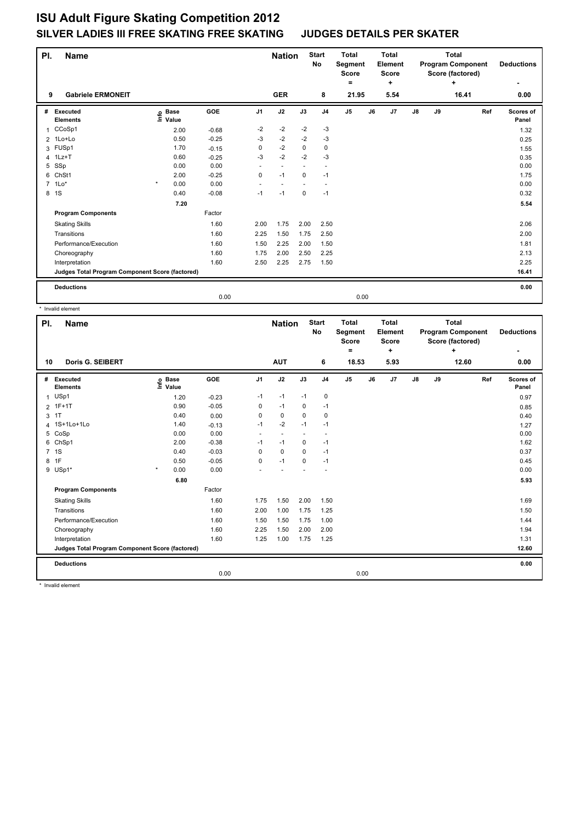| PI.            | <b>Name</b>                                     |                                  |            |                | <b>Nation</b>  |             | <b>Start</b><br><b>No</b> | <b>Total</b><br>Segment<br><b>Score</b><br>٠ |    | <b>Total</b><br>Element<br><b>Score</b><br>÷ |               | <b>Total</b><br><b>Program Component</b><br>Score (factored)<br>÷<br>16.41 |  |     | <b>Deductions</b>  |
|----------------|-------------------------------------------------|----------------------------------|------------|----------------|----------------|-------------|---------------------------|----------------------------------------------|----|----------------------------------------------|---------------|----------------------------------------------------------------------------|--|-----|--------------------|
| 9              | <b>Gabriele ERMONEIT</b>                        |                                  |            |                | <b>GER</b>     |             | 8                         | 21.95                                        |    | 5.54                                         |               |                                                                            |  |     | 0.00               |
| #              | Executed<br><b>Elements</b>                     | <b>Base</b><br>e Base<br>≞ Value | <b>GOE</b> | J <sub>1</sub> | J2             | J3          | J <sub>4</sub>            | J5                                           | J6 | J7                                           | $\mathsf{J}8$ | J9                                                                         |  | Ref | Scores of<br>Panel |
| 1              | CCoSp1                                          | 2.00                             | $-0.68$    | $-2$           | $-2$           | $-2$        | $-3$                      |                                              |    |                                              |               |                                                                            |  |     | 1.32               |
|                | $2$ 1Lo+Lo                                      | 0.50                             | $-0.25$    | $-3$           | $-2$           | $-2$        | $-3$                      |                                              |    |                                              |               |                                                                            |  |     | 0.25               |
| 3              | FUSp1                                           | 1.70                             | $-0.15$    | 0              | $-2$           | $\Omega$    | $\mathbf 0$               |                                              |    |                                              |               |                                                                            |  |     | 1.55               |
| $\overline{4}$ | 1Lz+T                                           | 0.60                             | $-0.25$    | -3             | $-2$           | $-2$        | $-3$                      |                                              |    |                                              |               |                                                                            |  |     | 0.35               |
| 5              | SSp                                             | 0.00                             | 0.00       | ٠              | $\overline{a}$ |             |                           |                                              |    |                                              |               |                                                                            |  |     | 0.00               |
| 6              | ChSt1                                           | 2.00                             | $-0.25$    | 0              | $-1$           | 0           | $-1$                      |                                              |    |                                              |               |                                                                            |  |     | 1.75               |
|                | $7$ 1 Lo*                                       | $\star$<br>0.00                  | 0.00       |                |                |             |                           |                                              |    |                                              |               |                                                                            |  |     | 0.00               |
|                | 8 1S                                            | 0.40                             | $-0.08$    | $-1$           | $-1$           | $\mathbf 0$ | $-1$                      |                                              |    |                                              |               |                                                                            |  |     | 0.32               |
|                |                                                 | 7.20                             |            |                |                |             |                           |                                              |    |                                              |               |                                                                            |  |     | 5.54               |
|                | <b>Program Components</b>                       |                                  | Factor     |                |                |             |                           |                                              |    |                                              |               |                                                                            |  |     |                    |
|                | <b>Skating Skills</b>                           |                                  | 1.60       | 2.00           | 1.75           | 2.00        | 2.50                      |                                              |    |                                              |               |                                                                            |  |     | 2.06               |
|                | Transitions                                     |                                  | 1.60       | 2.25           | 1.50           | 1.75        | 2.50                      |                                              |    |                                              |               |                                                                            |  |     | 2.00               |
|                | Performance/Execution                           |                                  | 1.60       | 1.50           | 2.25           | 2.00        | 1.50                      |                                              |    |                                              |               |                                                                            |  |     | 1.81               |
|                | Choreography                                    |                                  | 1.60       | 1.75           | 2.00           | 2.50        | 2.25                      |                                              |    |                                              |               |                                                                            |  |     | 2.13               |
|                | Interpretation                                  |                                  | 1.60       | 2.50           | 2.25           | 2.75        | 1.50                      |                                              |    |                                              |               |                                                                            |  |     | 2.25               |
|                | Judges Total Program Component Score (factored) |                                  |            |                |                |             |                           |                                              |    |                                              |               |                                                                            |  |     | 16.41              |
|                | <b>Deductions</b>                               |                                  |            |                |                |             |                           |                                              |    |                                              |               |                                                                            |  |     | 0.00               |
|                |                                                 |                                  | 0.00       |                |                |             |                           | 0.00                                         |    |                                              |               |                                                                            |  |     |                    |

|                | * Invalid element                               |                   |       |         |                |                      |                      |                    |                                  |    |                                  |               |    |                                                       |                    |
|----------------|-------------------------------------------------|-------------------|-------|---------|----------------|----------------------|----------------------|--------------------|----------------------------------|----|----------------------------------|---------------|----|-------------------------------------------------------|--------------------|
| PI.            | <b>Name</b>                                     |                   |       |         |                | <b>Nation</b>        |                      | <b>Start</b><br>No | Total<br>Segment<br><b>Score</b> |    | Total<br>Element<br><b>Score</b> |               |    | Total<br><b>Program Component</b><br>Score (factored) | <b>Deductions</b>  |
| 10             | <b>Doris G. SEIBERT</b>                         |                   |       |         |                | <b>AUT</b>           |                      | 6                  | ٠<br>18.53                       |    | ٠<br>5.93                        |               |    | ÷<br>12.60                                            | ٠<br>0.00          |
| #              | Executed<br><b>Elements</b>                     | <b>Base</b><br>۴e | Value | GOE     | J <sub>1</sub> | J2                   | J3                   | J <sub>4</sub>     | $\mathsf{J}5$                    | J6 | J7                               | $\mathsf{J}8$ | J9 | Ref                                                   | Scores of<br>Panel |
| $\mathbf{1}$   | USp1                                            |                   | 1.20  | $-0.23$ | $-1$           | $-1$                 | $-1$                 | 0                  |                                  |    |                                  |               |    |                                                       | 0.97               |
|                | 2 1F+1T                                         |                   | 0.90  | $-0.05$ | 0              | $-1$                 | $\mathbf 0$          | $-1$               |                                  |    |                                  |               |    |                                                       | 0.85               |
| 3              | 1T                                              |                   | 0.40  | 0.00    | 0              | $\mathbf 0$          | $\mathbf 0$          | 0                  |                                  |    |                                  |               |    |                                                       | 0.40               |
|                | 4 1S+1Lo+1Lo                                    |                   | 1.40  | $-0.13$ | $-1$           | $-2$                 | $-1$                 | $-1$               |                                  |    |                                  |               |    |                                                       | 1.27               |
| 5              | CoSp                                            |                   | 0.00  | 0.00    | $\sim$         | $\ddot{\phantom{1}}$ | $\ddot{\phantom{1}}$ |                    |                                  |    |                                  |               |    |                                                       | 0.00               |
| 6              | ChSp1                                           |                   | 2.00  | $-0.38$ | $-1$           | $-1$                 | 0                    | $-1$               |                                  |    |                                  |               |    |                                                       | 1.62               |
| $\overline{7}$ | 1S                                              |                   | 0.40  | $-0.03$ | $\Omega$       | $\Omega$             | $\Omega$             | $-1$               |                                  |    |                                  |               |    |                                                       | 0.37               |
| 8              | 1F                                              |                   | 0.50  | $-0.05$ | 0              | $-1$                 | $\mathbf 0$          | $-1$               |                                  |    |                                  |               |    |                                                       | 0.45               |
|                | 9 USp1*                                         | $\star$           | 0.00  | 0.00    |                |                      |                      |                    |                                  |    |                                  |               |    |                                                       | 0.00               |
|                |                                                 |                   | 6.80  |         |                |                      |                      |                    |                                  |    |                                  |               |    |                                                       | 5.93               |
|                | <b>Program Components</b>                       |                   |       | Factor  |                |                      |                      |                    |                                  |    |                                  |               |    |                                                       |                    |
|                | <b>Skating Skills</b>                           |                   |       | 1.60    | 1.75           | 1.50                 | 2.00                 | 1.50               |                                  |    |                                  |               |    |                                                       | 1.69               |
|                | Transitions                                     |                   |       | 1.60    | 2.00           | 1.00                 | 1.75                 | 1.25               |                                  |    |                                  |               |    |                                                       | 1.50               |
|                | Performance/Execution                           |                   |       | 1.60    | 1.50           | 1.50                 | 1.75                 | 1.00               |                                  |    |                                  |               |    |                                                       | 1.44               |
|                | Choreography                                    |                   |       | 1.60    | 2.25           | 1.50                 | 2.00                 | 2.00               |                                  |    |                                  |               |    |                                                       | 1.94               |
|                | Interpretation                                  |                   |       | 1.60    | 1.25           | 1.00                 | 1.75                 | 1.25               |                                  |    |                                  |               |    |                                                       | 1.31               |
|                | Judges Total Program Component Score (factored) |                   |       |         |                |                      |                      |                    |                                  |    |                                  |               |    |                                                       | 12.60              |
|                | <b>Deductions</b>                               |                   |       |         |                |                      |                      |                    |                                  |    |                                  |               |    |                                                       | 0.00               |
|                |                                                 |                   |       | 0.00    |                |                      |                      |                    | 0.00                             |    |                                  |               |    |                                                       |                    |

\* Invalid element